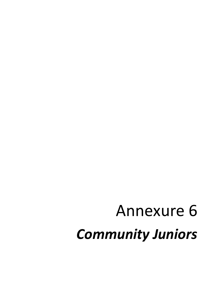# Annexure 6 *Community Juniors*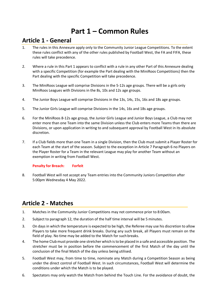# **Part 1 – Common Rules**

#### **Article 1 - General**

- 1. The rules in this Annexure apply only to the Community Junior League Competitions. To the extent these rules conflict with any of the other rules published by Football West, the FA and FIFA, these rules will take precedence.
- 2. Where a rule in this Part 1 appears to conflict with a rule in any other Part of this Annexure dealing with a specific Competition (for example the Part dealing with the MiniRoos Competitions) then the Part dealing with the specific Competition will take precedence.
- 3. The MiniRoos League will comprise Divisions in the 5-12s age groups. There will be a girls only MiniRoos Leagues with Divisions in the 8s, 10s and 12s age groups.
- 4. The Junior Boys League will comprise Divisions in the 13s, 14s, 15s, 16s and 18s age groups.
- 5. The Junior Girls League will comprise Divisions in the 14s, 16s and 18s age groups.
- 6. For the MiniRoos 8-12s age group, the Junior Girls League and Junior Boys League, a Club may not enter more than one Team into the same Division unless the Club enters more Teams than there are Divisions, or upon application in writing to and subsequent approval by Football West in its absolute discretion.
- 7. If a Club fields more than one Team in a single Division, then the Club must submit a Player Roster for each Team at the start of the season. Subject to the exception in Article 7 Paragraph 6 no Players on the Player Roster for a Team in the relevant League may play for another Team without an exemption in writing from Football West.

#### **Penalty for Breach: Forfeit**

8. Football West will not accept any Team entries into the Community Juniors Competition after 5:00pm Wednesday 4 May 2022.

#### **Article 2 - Matches**

- 1. Matches in the Community Junior Competitions may not commence prior to 8:00am.
- 2. Subject to paragraph 12, the duration of the half time interval will be 5 minutes.
- 3. On days in which the temperature is expected to be high, the Referee may use his discretion to allow Players to take more frequent drink breaks. During any such break, all Players must remain on the field of play. No time may be added to the Match for such breaks.
- 4. The home Clubmust provide one stretcher which isto be placed in a safe and accessible position. The stretcher must be in position before the commencement of the first Match of the day until the conclusion of the final Match of the day unless being utilised.
- 5. Football West may, from time to time, nominate any Match during a Competition Season as being under the direct control of Football West. In such circumstances, Football West will determine the conditions under which the Match is to be played.
- 6. Spectators may only watch the Match from behind the Touch Line. For the avoidance of doubt, the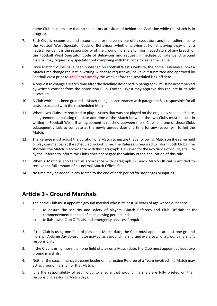home Club must ensure that no spectators are situated behind the Goal Line while the Match is in progress.

- 7. Each Club is responsible and accountable for the behaviour of its spectators and their adherence to the Football West Spectator Code of Behaviour, whether playing at home, playing away or at a neutral venue. It is the responsibility of the ground marshals to inform spectators of any breach of the Football West Spectator Code of Behaviour and request immediate compliance. A ground marshal may request any spectator not complying with that code to leave the venue.
- 8. Once Match fixtures have been published on Football West's website, the home Club may submit a Match time change request in writing. A change request will be valid if submitted and approved by Football West prior to **12:00pm Tuesday** the week before the scheduled kick-off date.
- 9. A request to change a Match time after the deadline described in paragraph 8 must be accompanied by written consent from the opposition Club. Football West may approve this request in its sole discretion.
- 10. A Club which has been granted a Match change in accordance with paragraph [8](#page-10-0) is responsible for all costs associated with the rescheduled Match.
- 11. Where two Clubs are required to play a Match that was not played on the originally scheduled date, an agreement stipulating the date and time of the Match between the two Clubs must be sent in writing to Football West. If an agreement is reached between those Clubs and one of those Clubs subsequently fails to compete at the newly agreed date and time for any reason will forfeit the Match.
- 12. The Referee must adjust the duration of a Match to ensure that a following Match on the same field of play commences at the scheduled kick-off time. The Referee is required to inform both Clubs if he shortens the Match in accordance with this paragraph. However, for the avoidance of doubt, a failure by the Referee to inform the Clubs does not negate the validity of the application of this rule.
- 13. When a Match is shortened in accordance with paragraph [12, e](#page-10-0)ach Match Official is entitled to receive the full amount of his normal Match Official fee.
- 14. No time may be added in any Match to the end of each period for stoppages orinjuries.

#### **Article 3 - Ground Marshals**

- 1. The home Club must appoint a ground marshal who is at least 18 years of age whose duties are:
	- a) to ensure the security and safety of players, Match Referees and Club Officials at the commencement and end of each playing period; and
	- b) to liaise with Club Officials and emergency services if required.
- 2. If the Club is using one field of play on a Match date, the Club must appoint at least one ground marshal. A Game Day Co-ordinator may act as a ground marshal and exercise all of a ground marshal's responsibility.
- 3. If the Club is using more than one field of play on a Match date, the Club must appoint at least two ground marshals.
- 4. Neither the coach, manager, game leader or instructing Referee of a Team involved in a Match may act as ground marshal for that Match.
- 5. It is the responsibility of each Club to ensure that ground marshals are fully briefed on their responsibilities during Match days.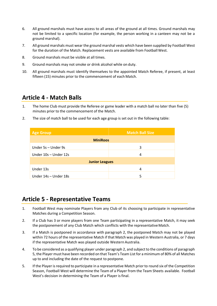- 6. All ground marshals must have access to all areas of the ground at all times. Ground marshals may not be limited to a specific location (for example, the person working in a canteen may not be a ground marshal).
- 7. All ground marshals must wear the ground marshal vests which have been supplied by Football West for the duration of the Match. Replacement vests are available from Football West.
- 8. Ground marshals must be visible at all times.
- 9. Ground marshals may not smoke or drink alcohol while on duty.
- 10. All ground marshals must identify themselves to the appointed Match Referee, if present, at least fifteen (15) minutes prior to the commencement of each Match.

#### **Article 4 - Match Balls**

- 1. The home Club must provide the Referee or game leader with a match ball no later than five (5) minutes prior to the commencement of the Match.
- 2. The size of match ball to be used for each age group is set out in the following table:

| <b>Age Group</b>      | <b>Match Ball Size</b> |  |  |  |
|-----------------------|------------------------|--|--|--|
| <b>MiniRoos</b>       |                        |  |  |  |
| Under 5s - Under 9s   | 3                      |  |  |  |
| Under 10s - Under 12s | 4                      |  |  |  |
| <b>Junior Leagues</b> |                        |  |  |  |
| Under 13s             | 4                      |  |  |  |
| Under 14s - Under 18s | 5                      |  |  |  |

#### **Article 5 - Representative Teams**

- 1. Football West may nominate Players from any Club of its choosing to participate in representative Matches during a Competition Season.
- 2. If a Club has 3 or more players from one Team participating in a representative Match, it may seek the postponement of any Club Match which conflicts with the representative Match.
- 3. If a Match is postponed in accordance with paragraph 2, the postponed Match may not be played within 72 hours of the representative Match if that Match was played in Western Australia, or 7 days if the representative Match was played outside Western Australia.
- 4. To be considered as a qualifying player under paragraph 2, and subject to the conditions of paragraph [5, t](#page-3-0)he Player must have been recorded on that Team's Team List for a minimum of 80% of all Matches up to and including the date of the request to postpone.
- <span id="page-3-0"></span>5. If the Player isrequired to participate in a representative Match prior to round six of the Competition Season, Football West will determine the Team of a Player from the Team Sheets available. Football West's decision in determining the Team of a Player is final.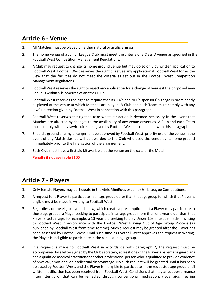## **Article 6 - Venue**

- 1. All Matches must be played on either natural or artificial grass.
- 2. The home venue of a Junior League Club must meet the criteria of a Class D venue as specified in the Football West Competition Management Regulations.
- 3. A Club may request to change its home ground venue but may do so only by written application to Football West. Football West reserves the right to refuse any application if Football West forms the view that the facilities do not meet the criteria as set out in the Football West Competition ManagementRegulations.
- 4. Football West reserves the right to reject any application for a change of venue if the proposed new venue is within 5 kilometres of another Club.
- 5. Football West reserves the right to require that its, FA's and NPL's sponsors' signage is prominently displayed at the venue at which Matches are played. A Club and each Team must comply with any lawful direction given by Football West in connection with this paragraph.
- 6. Football West reserves the right to take whatever action is deemed necessary in the event that Matches are affected by changes to the availability of any venue or venues. A Club and each Team must comply with any lawful direction given by Football West in connection with this paragraph.
- 7. Should a ground sharing arrangement be approved by Football West, priority use of the venue in the event of any Match clashes will be awarded to the Club who used the venue as its home ground immediately prior to the finalisation of the arrangement.
- 8. Each Club must have a first aid kit available at the venue on the date of the Match.

**Penalty if not available \$100**

## **Article 7 - Players**

- 1. Only female Players may participate in the Girls MiniRoos or Junior Girls League Competitions.
- 2. A request for a Player to participate in an age group other than that age group for which that Player is eligible must be made in writing to Football West.
- 3. Regardless of the eligible years below, which create a presumption that a Player may participate in those age groups, a Player seeking to participate in an age group more than one year older than that Player's actual age, for example, a 13 year old seeking to play Under 15s, must be made in writing to Football West in accordance with the Football West Playing Out of Age Group Process (as published by Football West from time to time). Such a request may be granted after the Player has been assessed by Football West. Until such time as Football West approves the request in writing, the Player is ineligible to participate in the requested age group.
- 4. If a request is made to Football West in accordance with paragraph 2, the request must be accompanied by a letter signed by the Club secretary, at least one of the Player's parents or guardians and a qualified medical practitioner or other professional person who is qualified to provide evidence of physical, emotional or intellectual disadvantage. No such request will be granted until it has been assessed by Football West, and the Player is ineligible to participate in the requested age group until written notification has been received from Football West. Conditions that may affect performance intermittently or that can be remedied through conventional medication, visual aids, hearing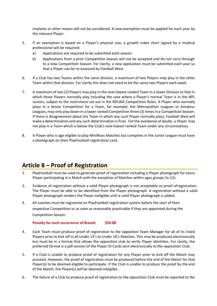implants or other means will not be considered. A new exemption must be applied for each year by the relevant Player.

- 5. If an exemption is based on a Player's physical size, a growth index chart signed by a medical professional will be required:
	- a) Applications are required to be submitted each season.
	- b) Applications from a prior Competition Season will not be accepted and do not carry through to a new Competition Season. For clarity, a new application must be submitted each year so that a Player can be re-assessed by Football West.
- 6. If a Club has two Teams within the same division, a maximum of two Players may play in the other Team within that division. For clarity this does not need to be the same two Players each week.
- 7. A maximum of two (2) Players may play in the next lowest ranked Team in a lower Division to that in which those Players normally play including the case where a Player's normal Team is in the NPL Juniors, subject to the restrictions set out in the NPLWA Competition Rules. A Player who normally plays in a Senior Competition for a Team, for example, the Metropolitan Leagues or Amateur Leagues, may only play down in a lower ranked Competition three (3) times in a Competition Season. If there is disagreement about the Team in which any such Player normally plays, Football West will make a determination and any such determination isfinal. Forthe avoidance of doubt, a Player may not play in a Team which is below the Club's next lowest ranked Team under any circumstances.
- 8. A Player who is age eligible to play MiniRoos Matches but competes in the Junior League must have a photograph on their PlayFootball registration card.

#### **Article 8 – Proof of Registration**

- 1. PlayFootball must be used to generate proof of registration including a Player photograph for every Player participating in a Match with the exception of Matches within ages groups 5s-12s.
- 2. Evidence of registration without a valid Player photograph is not acceptable as proof ofregistration. The Player must be able to be identified from the Player photograph. A registration without a valid Player photograph renders the Player ineligible until a valid Player photograph is added.
- 3. All coaches must be registered on PlayFootball registration system before the start of their respective Competition or as soon as reasonably practicable if they are appointed during the Competition Season.

#### **Penalty for each occurrence of Breach \$50.00**

- 4. Each Team must produce proof of registration to the opposition Team Manager for all of its listed Players prior to kick off in all Under 13's to Under 18's Matches. This may be produced electronically but must be in a format that allows the opposition club to verify Player identities. For clarity, the preferred format is a pdf version of the Player ID Cards sent electronically to the opposition Club.
- 5. If a Club is unable to produce proof of registration for any Player prior to kick-off the Match may proceed. However, the proof of registration must be produced before the end of the Match for that Player(s) to be deemed eligible to participate. If the Club is unable to produce the proof by the end of the Match, the Player(s) will be deemed ineligible.
- 6. The failure of a Club to produce proof of registration to the opposition Club must be reported to the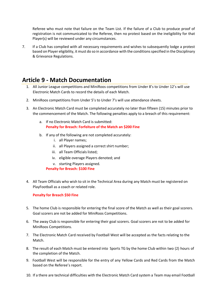Referee who must note that failure on the Team List. If the failure of a Club to produce proof of registration is not communicated to the Referee, then no protest based on the ineligibility for that Player(s) will be reviewed under any circumstances.

7. If a Club has complied with all necessary requirements and wishes to subsequently lodge a protest based on Player eligibility, it must do so in accordance with the conditions specified in the Disciplinary & Grievance Regulations.

#### **Article 9 - Match Documentation**

- 1. All Junior League competitions and MiniRoos competitions from Under 8's to Under 12's will use Electronic Match Cards to record the details of each Match.
- 2. MiniRoos competitions from Under 5's to Under 7's will use attendance sheets.
- 3. An Electronic Match Card must be completed accurately no later than fifteen (15) minutes prior to the commencement of the Match. The following penalties apply to a breach of this requirement:
	- a. If no Electronic Match Card is submitted: **Penalty for Breach: Forfeiture of the Match an \$200 Fine**
	- b. If any of the following are not completed accurately:
		- i. all Player names;
		- ii. all Players assigned a correct shirt number;
		- iii. all Team Officials listed;
		- iv. eligible overage Players denoted; and
		- v. starting Players assigned.

#### **Penalty for Breach: \$100 Fine**

4. All Team Officials who wish to sit in the Technical Area during any Match must be registered on PlayFootball as a coach or related role.

#### **Penalty for Breach \$50 Fine**

- 5. The home Club is responsible for entering the final score of the Match as well as their goal scorers. Goal scorers are not be added for MiniRoos Competitions.
- 6. The away Club is responsible for entering their goal scorers. Goal scorers are not to be added for MiniRoos Competitions.
- 7. The Electronic Match Card received by Football West will be accepted as the facts relating to the Match.
- 8. The result of each Match must be entered into Sports TG by the home Club within two (2) hours of the completion of the Match.
- 9. Football West will be responsible for the entry of any Yellow Cards and Red Cards from the Match based on the Referee's report.
- 10. If a there are technical difficulties with the Electronic Match Card system a Team may email Football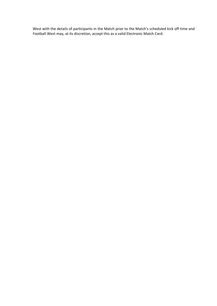West with the details of participants in the Match prior to the Match's scheduled kick off time and Football West may, at its discretion, accept this as a valid Electronic Match Card.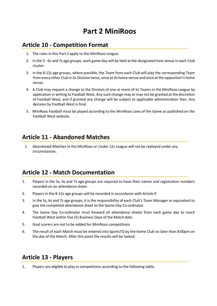# **Part 2 MiniRoos**

#### **Article 10 - Competition Format**

- 1. The rules in this Part 2 apply to the MiniRoos League.
- 2. In the 5 6s and 7s age groups, each game day will be held at the designated host venue in each Club cluster.
- 3. In the 8-12s age groups, where possible, the Team from each Club will play the corresponding Team from every other Club in its Division twice, once at its home venue and once at the opposition's home venue.
- 4. A Club may request a change to the Division of one or more of its Teams in the MiniRoos League by application in writing to Football West. Any such change may or may not be granted at the discretion of Football West, and if granted any change will be subject to applicable administration fees. Any decision by Football West is final.
- 5. MiniRoos Football must be played according to the MiniRoos Laws of the Game as published on the Football West website.

#### **Article 11 - Abandoned Matches**

1. Abandoned Matches in the MiniRoos or Under 12s League will not be replayed under any circumstances.

#### **Article 12 - Match Documentation**

- 1. Players in the 5s, 6s and 7s age groups are required to have their names and registration numbers recorded on an attendance sheet.
- 2. Players in the 8-12s age groups will be recorded in accordance with Article 9
- 3. In the 5s, 6s and 7s age groups, it is the responsibility of each Club's Team Manager or equivalent to give the completed attendance sheet to the Game Day Co-ordinator.
- 4. The Game Day Co-ordinator must forward all attendance sheets from each game day to reach Football West within five (5) Business Days of the Match date.
- 5. Goal scorers are not to be added for MiniRoos competitions
- 6. The result of each Match must be entered into SportsTG by the home Club no later than 8:00pm on the day of the Match. After this point the results will be locked.

#### **Article 13 - Players**

1. Players are eligible to play in competitions according to the following table: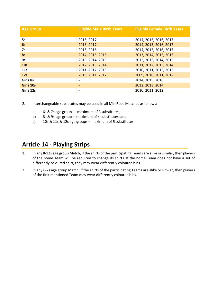| <b>Age Group</b> | <b>Eligible Male Birth Years</b> | <b>Eligible Female Birth Years</b> |
|------------------|----------------------------------|------------------------------------|
| 5s               | 2016, 2017                       | 2014, 2015, 2016, 2017             |
| 6s               | 2016, 2017                       | 2014, 2015, 2016, 2017             |
| <b>7s</b>        | 2015, 2016                       | 2014, 2015, 2016, 2017             |
| <b>8s</b>        | 2014, 2015, 2016                 | 2013, 2014, 2015, 2016             |
| <b>9s</b>        | 2013, 2014, 2015                 | 2012, 2013, 2014, 2015             |
| 10 <sub>s</sub>  | 2012, 2013, 2014                 | 2011, 2012, 2013, 2014             |
| 11 <sub>S</sub>  | 2011, 2012, 2013                 | 2010, 2011, 2012, 2013             |
| 12s              | 2010, 2011, 2012                 | 2009, 2010, 2011, 2012             |
| Girls 8s         |                                  | 2014, 2015, 2016                   |
| Girls 10s        |                                  | 2012, 2013, 2014                   |
| Girls 12s        |                                  | 2010, 2011, 2012                   |

2. Interchangeable substitutes may be used in all MiniRoos Matches asfollows:

- a) 6s & 7s age groups maximum of 3 substitutes;
- b) 8s & 9s age groups– maximum of 4 substitutes; and
- c) 10s & 11s & 12s age groups maximum of 5 substitutes.

#### **Article 14 - Playing Strips**

- 1. In any 8-12s age group Match, if the shirts of the participating Teams are alike or similar, then players of the home Team will be required to change its shirts. If the home Team does not have a set of differently coloured shirt, they may wear differently coloured bibs.
- 2. In any 6-7s age group Match, if the shirts of the participating Teams are alike or similar, then players of the first mentioned Team may wear differently coloured bibs.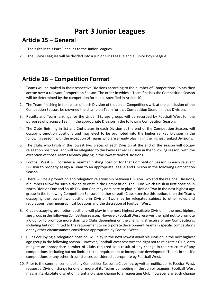## **Part 3 Junior Leagues**

### **Article 15 – General**

- 1. The rules in this Part 3 applies to the Junior Leagues.
- 2. The Junior Leagues will be divided into a Junior Girls League and a Junior Boys League.

## **Article 16 – Competition Format**

- 1. Teams will be ranked in their respective Divisions according to the number of Competitions Points they accrue over a relevant Competition Season. The order in which a Team finishes the Competition Season will be determined by the competition format as specified in Article 10.
- 2. The Team finishing in first place of each Division of the Junior Competitions will, at the conclusion of the Competition Season, be crowned the champion Team for that Competition Season in that Division.
- 3. Results and Team rankings for the Under 12s age groups will be recorded by Football West for the purposes of placing a Team in the appropriate Division in the following Competition Season.
- 4. The Clubs finishing in 1st and 2nd places in each Division at the end of the Competition Season, will occupy promotion positions and may elect to be promoted into the higher ranked Division in the following season, with the exception of Teams who are already playing in the highest ranked Divisions.
- 5. The Clubs who finish in the lowest two places of each Division at the end of the season will occupy relegation positions, and will be relegated to the lower ranked Division in the following season, with the exception of those Teams already playing in the lowest ranked Divisions.
- 6. Football West will consider a Team's finishing position for that Competition Season in each relevant Division to properly assign a Team to an appropriate league and Division in the following Competition Season.
- 7. There will be a promotion and relegation relationship between Division Two and the regional Divisions, if numbers allow for such a divide to exist in the Competition. The Clubs which finish in first position in North Division One and South Division One may nominate to play in Division Two in the next highest age group in the following Competition Season. If either or both Clubs exercise this option, then the Teams occupying the lowest two positions in Division Two may be relegated subject to other rules and regulations, their geographical locations and the discretion of Football West.
- 8. Clubs occupying promotion positions will play in the next highest available Division in the next highest age group in the following Competition Season. However, Football West reserves the right not to promote a Club, or to promote more than two Clubs depending on the changing structure of any Competitions, including but not limited to the requirement to incorporate development Teams in specific competitions or any other circumstances considered appropriate by Football West.
- 9. Clubs occupying a relegation position, will play in the next lowest available Division in the next highest age group in the following season. However, Football West reserves the right not to relegate a Club, or to relegate an appropriate number of Clubs required as a result of any change in the structure of any competitions, including but notlimited to the requirement to incorporate development Teams in specific competitions or any other circumstances considered appropriate by Football West.
- <span id="page-10-0"></span>10. Prior to the commencement of any Competition Season, a Clubmay, by written notification to Football West, request a Division change for one or more of its Teams competing in the Junior Leagues. Football West may, in its absolute discretion, grant a Division change to a requesting Club, however any such change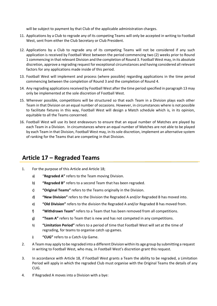will be subject to payment by that Club of the applicable administration charges.

- 11. Applications by a Club to regrade any of its competing Teams will only be accepted in writing to Football West, sent from either the Club Secretary or Club President.
- 12. Applications by a Club to regrade any of its competing Teams will not be considered if any such application is received by Football West between the period commencing two (2) weeks prior to Round 1 commencing in that relevant Division and the completion of Round 3. Football West may, in its absolute discretion, approve a regrading request for exceptional circumstances and having considered all relevant factors for any applications made inside of this period.
- 13. Football West will implement and process (where possible) regarding applications in the time period commencing between the completion of Round 3 and the completion of Round 4.
- 14. Any regrading applications received by Football West after the time period specified in paragraph 13 may only be implemented at the sole discretion of Football West.
- 15. Wherever possible, competitions will be structured so that each Team in a Division plays each other Team in that Division on an equal number of occasions. However, in circumstances where is not possible to facilitate fixtures in this way, Football West will design a Match schedule which is, in its opinion, equitable to all the Teams concerned.
- 16. Football West will use its best endeavours to ensure that an equal number of Matches are played by each Team in a Division. In circumstances where an equal number of Matches are not able to be played by each Team in that Division, Football West may, in its sole discretion, implement an alternative system of ranking for the Teams that are competing in that Division.

#### **Article 17 – Regraded Teams**

- 1. For the purpose of this Article and Article 18;
	- a) "**Regraded A"** refers to the Team moving Division.
	- b) **"Regraded B"** refers to a second Team that has been regraded.
	- c) **"Original Teams"** refers to the Teams originally in the Division.
	- d) **"New Division"** refers to the Division the Regraded A and/or Regraded B has moved into.
	- e) **"Old Division"** refers to the division the Regraded A and/or Regraded B has moved from.
	- f) **"Withdrawn Team"** refers to a Team that has been removed from all competitions.
	- g) **"Team A"** refers to Team that is new and has not competed in any competitions.
	- h) **"Limitation Period"** refers to a period of time that Football West will set at the time of regrading, for teams to organise catch up games.
	- i) **"CUG"** refers to a Catch-Up Game.
- 2. A Teammay apply to be regraded into a different Division within its age group by submitting a request in writing to Football West, who may, in Football West's discretion grant this request.
- 3. In accordance with Article 18, if Football West grants a Team the ability to be regraded, a Limitation Period will apply in which the regraded Club must organise with the Original Teams the details of any CUG.
- 4. If Regraded A moves into a Division with a bye: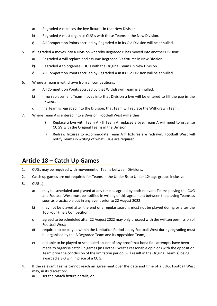- a) Regraded A replaces the bye fixtures in that New Division.
- b) Regraded A must organise CUG's with those Teams in the New Division.
- c) All Competition Points accrued by Regraded A in its Old Division will be annulled.
- 5. If Regraded A moves into a Division whereby Regraded B has moved into another Division:
	- a) Regraded A will replace and assume Regraded B's fixtures in New Division.
	- b) Regraded A to organise CUG's with the Original Teams in New Division.
	- c) All Competition Points accrued by Regraded A in its Old Division will be annulled.
- 6. Where a Team is withdrawn from all competitions:
	- a) All Competition Points accrued by that Withdrawn Team is annulled.
	- b) If no replacement Team moves into that Division a bye will be entered to fill the gap in the fixtures.
	- c) If a Team is regraded into the Division, that Team will replace the Withdrawn Team.
- 7. Where Team A is entered into a Division, Football West will either;
	- (i) Replace a bye with Team A If Team A replaces a bye, Team A will need to organise CUG's with the Original Teams in the Division.
	- (ii) Redraw fixtures to accommodate Team A If fixtures are redrawn, Football West will notify Teams in writing of what CUGs are required.

#### **Article 18 – Catch Up Games**

- 1. CUGs may be required with movement of Teams between Divisions.
- 2. Catch up games are not required for Teams in the Under 5s to Under 12s age groups inclusive.
- 3. CUG(s);
	- a) may be scheduled and played at any time as agreed by both relevant Teams playing the CUG and Football West must be notified in writing of this agreement between the playing Teams as soon as practicable but in any event prior to 22 August 2022;
	- b) may not be played after the end of a regular season; must not be played during or after the Top Four Finals Competition;
	- c) agreed to be scheduled after 22 August 2022 may only proceed with the written permission of Football West;
	- d) required to be played within the Limitation Period set by Football West during regrading must be organised by the A Regraded Team and its opposition Team;
	- e) not able to be played or scheduled absent of any proof that bona fide attempts have been made to organise catch up games (in Football West's reasonable opinion) with the opposition Team prior the conclusion of the limitation period, will result in the Original Team(s) being awarded a 3-0 win in place of a CUG.
- 4. If the relevant Teams cannot reach an agreement over the date and time of a CUG, Football West may, in its discretion:
	- a) set the Match fixture details; or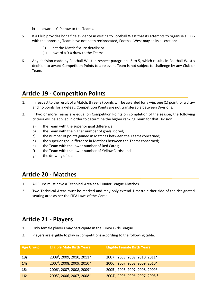- b) award a 0-0 draw to the Teams.
- 5. If a Club provides bona fide evidence in writing to Football West that its attempts to organise a CUG with the opposing Team have not been reciprocated, Football West may at its discretion:
	- (i) set the Match fixture details; or
	- (ii) award a 0-0 draw to the Teams.
- 6. Any decision made by Football West in respect paragraphs 3 to 5, which results in Football West's decision to award Competition Points to a relevant Team is not subject to challenge by any Club or Team.

### **Article 19 - Competition Points**

- 1. In respect to the result of a Match, three (3) points will be awarded for a win, one (1) point for a draw and no points for a defeat. Competition Points are not transferable between Divisions.
- 2. If two or more Teams are equal on Competition Points on completion of the season, the following criteria will be applied in order to determine the higher ranking Team for that Division:
	- a) the Team with the superior goal difference;
	- b) the Team with the higher number of goals scored;
	- c) the number of points gained in Matches between the Teams concerned;
	- d) the superior goal difference in Matches between the Teams concerned;
	- e) the Team with the lower number of Red Cards;
	- f) the Team with the lower number of Yellow Cards; and
	- g) the drawing of lots.

#### **Article 20 - Matches**

- 1. All Clubs must have a Technical Area at all Junior League Matches
- 2. Two Technical Areas must be marked and may only extend 1 metre either side of the designated seating area as per the FIFA Laws of the Game.

#### **Article 21 - Players**

- 1. Only female players may participate in the Junior Girls League.
- 2. Players are eligible to play in competitions according to the following table:

| <b>Age Group</b> | <b>Eligible Male Birth Years</b>                  | <b>Eligible Female Birth Years</b>                      |
|------------------|---------------------------------------------------|---------------------------------------------------------|
| 13s              | 2008 <sup>+</sup> , 2009, 2010, 2011 <sup>*</sup> | 2007 <sup>+</sup> , 2008, 2009, 2010, 2011 <sup>*</sup> |
| 14 <sub>s</sub>  | 2007 <sup>+</sup> , 2008, 2009, 2010 <sup>*</sup> | 2006 <sup>+</sup> , 2007, 2008, 2009, 2010 <sup>*</sup> |
| <b>15s</b>       | 2006 <sup>+</sup> , 2007, 2008, 2009*             | 2005 <sup>†</sup> , 2006, 2007, 2008, 2009 <sup>*</sup> |
| <b>16s</b>       | 2005 <sup>+</sup> , 2006, 2007, 2008*             | 2004 <sup>+</sup> , 2005, 2006, 2007, 2008 *            |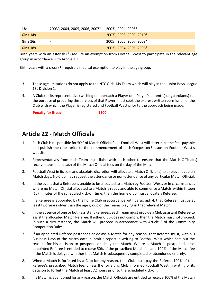| 18s       | 2003 <sup>†</sup> , 2004, 2005, 2006, 2007 <sup>*</sup> | $2003^{\dagger}$ , 2004, 2005*                    |
|-----------|---------------------------------------------------------|---------------------------------------------------|
| Girls 14s | $\qquad \qquad \blacksquare$                            | 2007 <sup>+</sup> , 2008, 2009, 2010 <sup>*</sup> |
| Girls 16s |                                                         | 2005 <sup>+</sup> , 2006, 2007, 2008 <sup>*</sup> |
| Girls 18s | $\overline{\phantom{0}}$                                | 2003 <sup>+</sup> , 2004, 2005, 2006 <sup>*</sup> |

Birth years with an asterisk (\*) require an exemption from Football West to participate in the relevant age group in accordance with Article 7.3.

Birth years with a cross (†) require a medical exemption to play in the age group.

- 3. These age limitations do not apply to the NTC Girls 14s Team which will play in the Junior Boys League 13s Division 1.
- 4. A Club (or its representative) wishing to approach a Player or a Player's parent(s) or guardian(s) for the purpose of procuring the services of that Player, must seek the express written permission of the Club with which the Player is registered and Football West prior to the approach being made.

**Penalty for Breach \$500**

#### **Article 22 - Match Officials**

- 1. Each Club is responsible for 50% of Match Official fees. Football West will determine the fees payable and publish the rates prior to the commencement of each Competition Season on Football West's website.
- 2. Representatives from each Team must liaise with each other to ensure that the Match Official(s) receive payment in cash of the Match Official fees on theday of the Match.
- 3. Football West in its sole and absolute discretion will allocate a Match Official(s) to a relevant cup on Match days. No Club may request the attendance or non-attendance of any particular Match Official.
- <span id="page-14-0"></span>4. In the event that a Referee is unable to be allocated to a Match by Football West, or in circumstances where no Match Official allocated to a Match is ready and able to commence a Match within fifteen (15) minutes of the scheduled kick-off time, then the home Club must allocate a Referee.
- 5. If a Referee is appointed by the home Club in accordance with paragraph [4,](#page-14-0) that Referee must be at least two years older than the age group of the Teams playing in that relevant Match.
- 6. In the absence of one or both assistant Referees, each Team must provide a Club assistant Referee to assist the allocated Match Referee. If either Club does not comply, then the Match must notproceed. In such a circumstance, the Match will proceed in accordance with Article 3 of the Community Competition Rules.
- 7. If an appointed Referee postpones or delays a Match for any reason, that Referee must, within 3 Business Days of the Match date, submit a report in writing to Football West which sets out the reasons for his decision to postpone or delay the Match. Where a Match is postponed, t h e appointed Referee is entitled to receive 50% of the prescribed Match fee and 100% of the Match fee if the Match is delayed whether that Match is subsequently completed or abandoned entirely.
- 8. When a Match is forfeited by a Club for any reason, that Club must pay the Referee 100% of that Referee's prescribed Match fee, unless the forfeiting Club informed Football West in writing of its decision to forfeit the Match at least 72 hours prior to the scheduled kick-off.
- 9. If a Match is abandoned for any reason, the Match Officials are entitled to receive 100% of the Match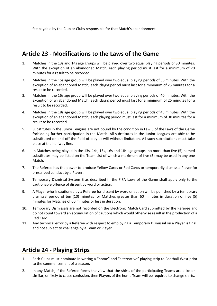fee payable by the Club or Clubs responsible for that Match's abandonment.

#### **Article 23 - Modifications to the Laws of the Game**

- 1. Matches in the 13s and 14s age groups will be played over two equal playing periods of 30 minutes. With the exception of an abandoned Match, each playing period must last for a minimum of 20 minutes for a result to be recorded.
- 2. Matches in the 15s age group will be played over two equal playing periods of 35 minutes. With the exception of an abandoned Match, each playing period must last for a minimum of 25 minutes for a result to be recorded.
- 3. Matches in the 16s age group will be played over two equal playing periods of 40 minutes. With the exception of an abandoned Match, each playing period must last for a minimum of 25 minutes for a result to be recorded.
- 4. Matches in the 18s age group will be played over two equal playing periods of 45 minutes. With the exception of an abandoned Match, each playing period must last for a minimum of 30 minutes for a result to be recorded.
- 5. Substitutes in the Junior Leagues are not bound by the condition in Law 3 of the Laws of the Game forbidding further participation in the Match. All substitutes in the Junior Leagues are able to be substituted on and off the field of play at will without limitation. All such substitutions must take place at the halfway line.
- 6. In Matches being played in the 13s, 14s, 15s, 16s and 18s age groups, no more than five (5) named substitutes may be listed on the Team List of which a maximum of five (5) may be used in any one Match.
- 7. The Referee has the power to produce Yellow Cards or Red Cards or temporarily dismiss a Player for prescribed conduct by a Player.
- 8. Temporary Dismissal System B as described in the FIFA Laws of the Game shall apply only to the cautionable offence of dissent by word or action.
- 9. A Player who is cautioned by a Referee for dissent by word or action will be punished by a temporary dismissal period of ten (10) minutes for Matches greater than 60 minutes in duration or five (5) minutes for Matches of 60 minutes or less in duration.
- 10. Temporary Dismissals are not recorded on the Electronic Match Card submitted by the Referee and do not count toward an accumulation of cautions which would otherwise result in the production of a Red Card.
- 11. Any technical error by a Referee with respect to employing a Temporary Dismissal on a Player is final and not subject to challenge by a Team or Player.

#### **Article 24 - Playing Strips**

- 1. Each Clubs must nominate in writing a "home" and "alternative" playing strip to Football West prior to the commencement of a season.
- 2. In any Match, if the Referee forms the view that the shirts of the participating Teams are alike or similar, or likely to cause confusion, then Players of the home Team will be required to change shirts.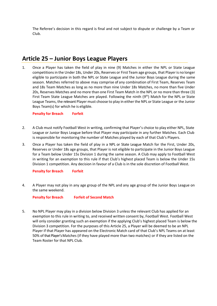The Referee's decision in this regard is final and not subject to dispute or challenge by a Team or Club.

#### **Article 25 – Junior Boys League Players**

1. Once a Player has taken the field of play in nine (9) Matches in either the NPL or State League competitions in the Under 18s, Under 20s, Reserves or First Team age groups, that Player is no longer eligible to participate in both the NPL or State League and the Junior Boys League during the same season. Matches referred to above may comprise of any combination of First Team, Reserves Team and 18s Team Matches as long as no more than nine Under 18s Matches, no more than five Under 20s, Reserves Matches and no more than one First Team Match in the NPL or no more than three (3) First Team State League Matches are played. Following the ninth (9<sup>th</sup>) Match for the NPL or State League Teams, the relevant Player must choose to play in either the NPL or State League or the Junior Boys Team(s) for which he is eligible.

**Penalty for Breach Forfeit**

- 2. A Club must notify Football West in writing, confirming that Player's choice to play either NPL, State League or Junior Boys League before that Player may participate in any further Matches. Each Club is responsible for monitoring the number of Matches played by each of that Club's Players.
- 3. Once a Player has taken the field of play in a NPL or State League Match for the First, Under 20s, Reserves or Under 18s age groups, that Player is not eligible to participate in the Junior Boys League for a Team below Under 15s Division 1 during the same season. A Club may apply to Football West in writing for an exemption to this rule if that Club's highest placed Team is below the Under 15s Division 1 competition. Any decision in favour of a Club is in the sole discretion of Football West.

**Penalty for Breach Forfeit**

4. A Player may not play in any age group of the NPL and any age group of the Junior Boys League on the same weekend.

**Penalty for Breach Forfeit of Second Match**

5. No NPL Player may play in a division below Division 3 unless the relevant Club has applied for an exemption to this rule in writing to, and received written consent by, Football West. Football West will only consider granting such an exemption if the applying Club's highest placed Team is below the Division 3 competition. For the purposes of this Article 25, a Player will be deemed to be an NPL Player if that Player has appeared on the Electronic Match card of that Club's NPL Teams on at least 50% of that Player'sMatches (if they have played more than two matches) or if they are listed on the Team Roster for that NPL Club.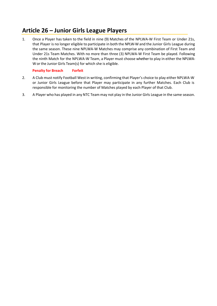## **Article 26 – Junior Girls League Players**

1. Once a Player has taken to the field in nine (9) Matches of the NPLWA-W First Team or Under 21s, that Player is no longer eligible to participate in both the NPLW-W and the Junior Girls League during the same season. These nine NPLWA-W Matches may comprise any combination of First Team and Under 21s Team Matches. With no more than three (3) NPLWA-W First Team be played. Following the ninth Match for the NPLWA-W Team, a Player must choose whether to play in either the NPLWA-W or the Junior Girls Team(s) for which she is eligible.

#### **Penalty for Breach Forfeit**

- 2. A Club must notify Football West in writing, confirming that Player's choice to play either NPLWA-W or Junior Girls League before that Player may participate in any further Matches. Each Club is responsible for monitoring the number of Matches played by each Player of that Club.
- 3. A Player who has played in any NTC Team may not play in the Junior Girls League in the same season.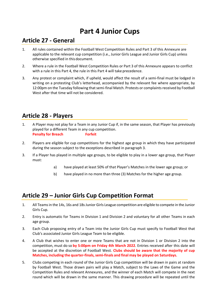# **Part 4 Junior Cups**

#### **Article 27 - General**

- 1. All rules contained within the Football West Competition Rules and Part 3 of this Annexure are applicable to the relevant cup competition (i.e., Junior Girls League and Junior Girls Cup) unless otherwise specified in thisdocument.
- 2. Where a rule in the Football West Competition Rules or Part 3 of this Annexure appears to conflict with a rule in this Part 4, the rule in this Part 4 will take precedence.
- 3. Any protest or complaint which, if upheld, would affect the result of a semi-final must be lodged in writing on a protesting Club's letterhead, accompanied by the relevant fee where appropriate, by 12:00pm on the Tuesday following that semi-final Match. Protests or complaints received by Football West after that time will not be considered.

### **Article 28 - Players**

- 1. A Player may not play for a Team in any Junior Cup if, in the same season, that Player has previously played for a different Team in any cup competition. **Penalty for Breach Forfeit**
- 2. Players are eligible for cup competitions for the highest age group in which they have participated during the season subject to the exceptions described in paragraph 3.
- 3. If a Player has played in multiple age groups, to be eligible to play in a lower age group, that Player must:
	- a) have played at least 50% of that Player's Matches in the lower age group; or
	- b) have played in no more than three (3) Matches for the higher age group.

#### **Article 29 – Junior Girls Cup Competition Format**

- 1. All Teams in the 14s, 16s and 18s Junior Girls League competition are eligible to compete in the Junior Girls Cup.
- 2. Entry is automatic for Teams in Division 1 and Division 2 and voluntary for all other Teams in each age group.
- 3. Each Club proposing entry of a Team into the Junior Girls Cup must specify to Football West that Club's associated Junior Girls League Team to be eligible.
- 4. A Club that wishes to enter one or more Teams that are not in Division 1 or Division 2 into the competition, must do so **by 5:00pm on Friday 4th March 2022**. Entries received after this date will be accepted at the discretion of Football West. **Clubs should be aware that the majority of cup Matches, including the quarter-finals,semi-finals and final may be played on Saturdays.**
- 5. Clubs competing in each round of the Junior Girls Cup competition will be drawn in pairs at random by Football West. Those drawn pairs will play a Match, subject to the Laws of the Game and the Competition Rules and relevant Annexures, and the winner of each Match will compete in the next round which will be drawn in the same manner. This drawing procedure will be repeated until the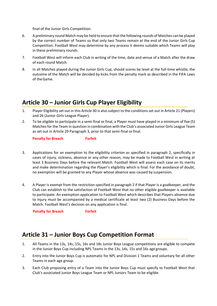final of the Junior Girls Competition.

- 6. A preliminary round Match may be held to ensure that the following rounds of Matches can be played by the correct number of Teams so that only two Teams remain at the end of the Junior Girls Cup Competition. Football West may determine by any process it deems suitable which Teams will play in these preliminary rounds.
- 7. Football West will inform each Club in writing of the time, date and venue of a Match after the draw of each round Match.
- 8. In all Matches played during the Junior Girls Cup, should scores be level at the full-time whistle, the outcome of the Match will be decided by kicks from the penalty mark as described in the FIFA Laws of theGame.

#### **Article 30 – Junior Girls Cup Player Eligibility**

- 1. Player Eligibility set out in this Article 30 is also subject to the conditions set out in Article 21 (Players) and 26 (Junior Girls League Player).
- 2. To be eligible to participate in a semi-final or final, a Player must have played in a minimum of five (5) Matches for the Team in question in combination with the Club's associated Junior Girls League Team as set out in Article 29 Paragraph 3, prior to that semi-final orfinal.

**Penalty for Breach Forfeit**

- 3. Applications for an exemption to the eligibility criterion as specified in paragraph [2, s](#page-10-0)pecifically in cases of injury, sickness, absence or any other reason, may be made to Football West in writing at least 3 Business Days before the relevant Match. Football West will assess each case on its merits and make determination regarding the Player's eligibility which is final. For the avoidance of doubt, no exemption will be granted to any Player whose absence was caused by suspension.
- 4. A Player is exempt from the restriction specified in paragraph [2 i](#page-10-0)f that Player is a goalkeeper, and the Club can establish to the satisfaction of Football West that no other eligible goalkeeper is available to participate. An exemption application to Football West which describes that Players absence due to injury must be accompanied by a medical certificate at least two (2) Business Days before the Match. Football West's decision on any application is final.

**Penalty for Breach Forfeit**

# **Article 31 – Junior Boys Cup Competition Format**

- 1. All Teams in the 13s, 14s, 15s, 16s and 18s Junior Boys League competitions are eligible to compete in the Junior Boys Cup including NPL Teams in the 13s, 14s, 15s and 16s age groups.
- 2. Entry into the Junior Boys Cup is automatic for NPL and Division 1 Teams and voluntary for all other Teams in each age group.
- 3. Each Club proposing entry of a Team into the Junior Boys Cup must specify to Football West that Club's associated Junior Boys League Team or NPL Juniors Team to be eligible.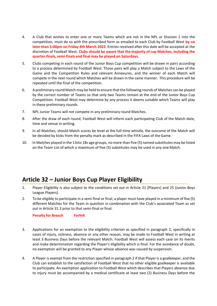- 4. A Club that wishes to enter one or more Teams which are not in the NPL or Division 1 into the competition, must do so with the prescribed form as emailed to each Club by Football West **by no later than 5:00pm on Friday 4th March 2022**. Entries received after this date will be accepted at the discretion of Football West. **Clubs should be aware that the majority of cup Matches, including the quarter-finals,semi-finals and final may be played on Saturdays.**
- 5. Clubs competing in each round of the Junior Boys Cup competition will be drawn in pairs according to a process determined by Football West. Those pairs will play a Match subject to the Laws of the Game and the Competition Rules and relevant Annexures, and the winner of each Match will compete in the next round which Matches will be drawn in the same manner. This procedure will be repeated until the final of the competition.
- 6. A preliminary round Match may be held to ensure that the following rounds of Matches can be played by the correct number of Teams so that only two Teams remain at the end of the Junior Boys Cup Competition. Football West may determine by any process it deems suitable which Teams will play in these preliminary rounds.
- 7. NPL Junior Teams will not compete in any preliminary round Matches.
- 8. After the draw of each round, Football West will inform each participating Club of the Match date, time and venue in writing.
- 9. In all Matches, should Match scores be level at the full-time whistle, the outcome of the Match will be decided by kicks from the penalty mark as described in the FIFA Laws of the Game.
- 10. In Matches played in the 13sto 18s age groups, no more than five (5) named substitutes may be listed on the Team List of which a maximum of five (5) substitutes may be used in any one Match.

#### **Article 32 – Junior Boys Cup Player Eligibility**

- 1. Player Eligibility is also subject to the conditions set out in Article 21 (Players) and 25 (Junior Boys League Players).
- 2. To be eligible to participate in a semi-final or final, a player must have played in a minimum of five (5) different Matches for the Team in question in combination with the Club's associated Team as set out in Article 31.3 prior to that semi-final or final.

**Penalty for Breach Forfeit**

- 3. Applications for an exemption to the eligibility criterion as specified in paragraph [2, s](#page-10-0)pecifically in cases of injury, sickness, absence or any other reason, may be made to Football West in writing at least 3 Business Days before the relevant Match. Football West will assess each case on its merits and make determination regarding the Player's eligibility which is final. For the avoidance of doubt, no exemption will be granted to any Player whose absence was caused by suspension.
- 4. A Player is exempt from the restriction specified in paragraph [2 i](#page-10-0)f that Player is a goalkeeper, and the Club can establish to the satisfaction of Football West that no other eligible goalkeeper is available to participate. An exemption application to Football West which describes that Players absence due to injury must be accompanied by a medical certificate at least two (2) Business Days before the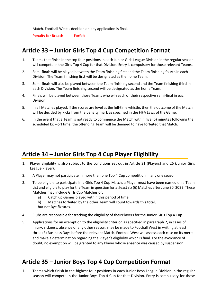Match. Football West's decision on any application is final.

**Penalty for Breach Forfeit**

## **Article 33 – Junior Girls Top 4 Cup Competition Format**

- 1. Teams that finish in the top four positions in each Junior Girls League Division in the regular season will compete in the Girls Top 4 Cup for that Division. Entry is compulsory for those relevant Teams.
- 2. Semi-finals will be played between the Team finishing first and the Team finishing fourth in each Division. The Team finishing first will be designated as the home Team.
- 3. Semi-finals will also be played between the Team finishing second and the Team finishing third in each Division. The Team finishing second will be designated as the home Team.
- 4. Finals will be played between those Teams who win each of their respective semi-final in each Division.
- 5. In all Matches played, if the scores are level at the full-time whistle, then the outcome of the Match will be decided by kicks from the penalty mark as specified in the FIFA Laws of the Game.
- 6. In the event that a Team is not ready to commence the Match within five (5) minutes following the scheduled kick-off time, the offending Team will be deemed to have forfeited that Match.

#### **Article 34 – Junior Girls Top 4 Cup Player Eligibility**

- 1. Player Eligibility is also subject to the conditions set out in Article 21 (Players) and 26 (Junior Girls League Player).
- 2. A Player may not participate in more than one Top 4 Cup competition in any one season.
- 3. To be eligible to participate in a Girls Top 4 Cup Match, a Player must have been named on a Team List and eligible to play for the Team in question for at least six (6) Matches after June 30, 2022. These Matches may include Girls Cup Matches or:
	- a) Catch up Games played within this period of time;
	- b) Matches forfeited by the other Team will count towards this total, but not Bye fixtures.
- 4. Clubs are responsible for tracking the eligibility of their Players for the Junior Girls Top 4 Cup.
- 5. Applications for an exemption to the eligibility criterion as specified in paragrap[h 2, i](#page-10-0)n cases of injury, sickness, absence or any other reason, may be made to Football West in writing at least three (3) Business Days before the relevant Match. Football West will assess each case on its merit and make a determination regarding the Player's eligibility which is final. For the avoidance of doubt, no exemption will be granted to any Player whose absence was caused by suspension.

#### **Article 35 – Junior Boys Top 4 Cup Competition Format**

1. Teams which finish in the highest four positions in each Junior Boys League Division in the regular season will compete in the Junior Boys Top 4 Cup for that Division. Entry is compulsory for those